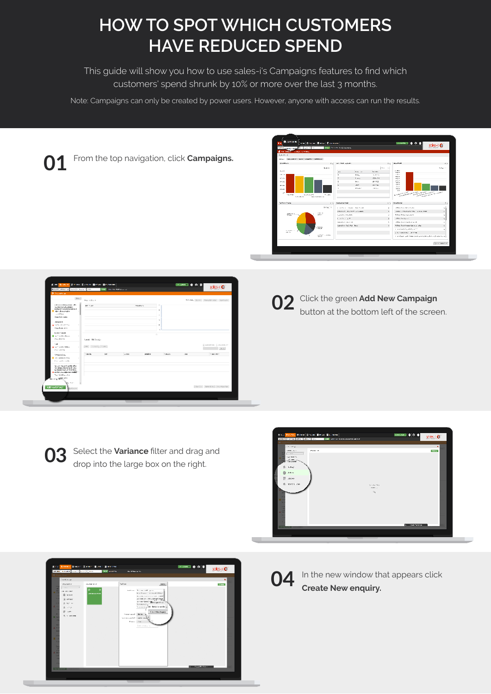## **HOW TO SPOT WHICH CUSTOMERS HAVE REDUCED SPEND**

This guide will show you how to use sales-i's Campaigns features to find which customers' spend shrunk by 10% or more over the last 3 months.

Note: Campaigns can only be created by power users. However, anyone with access can run the results.

From the top navigation, click **Campaigns. 01**



|                                                                                                                                                         | never make a said that he can | <b>VIA COLOR RESIDENCE</b> |       |                 |               |              | scies-r                                    |
|---------------------------------------------------------------------------------------------------------------------------------------------------------|-------------------------------|----------------------------|-------|-----------------|---------------|--------------|--------------------------------------------|
| <b>Bittenditure</b>                                                                                                                                     |                               |                            |       |                 |               |              |                                            |
| Prv 1                                                                                                                                                   | <b>Marine Book</b>            |                            |       |                 |               |              | were the form the state state of the state |
| calculated and a series of the<br>ing in a longitude to a<br><b>REMEDIATION FOR BEING IN</b><br>New Algorithm<br>$-177$ es                              | AT THAT                       |                            |       | <b>MAINS IN</b> | ×<br>٠        |              |                                            |
| Organ Schill Cades<br>diam'r.<br>a nomination of the<br>×                                                                                               |                               |                            |       |                 | $\sim$<br>٠   |              |                                            |
| Countries and<br>Lines Course<br><b>Blue Condition Book</b><br>×.                                                                                       |                               |                            |       | ÷               |               |              |                                            |
| Countries Ser                                                                                                                                           | Gene Milenio                  |                            |       |                 |               |              |                                            |
| <b>I</b><br><b>Black company</b><br>٠<br>President Service                                                                                              | [PA   School   Scole          |                            |       |                 |               |              | Designation Constitution<br>16.1           |
|                                                                                                                                                         | <b>Streets</b>                | Let-                       | a mar | anica.          | <b>Sandor</b> | <b>COLOR</b> | Transport                                  |
| <b>Shipmidow</b><br><b>CONSTRUCTS</b><br>н<br>President code                                                                                            |                               |                            |       |                 |               |              |                                            |
| Structure Land and a War<br>the project extensive standard<br><b>NAMES IN CONTRACT</b><br>Table results and the state<br>「コミウンティース」<br>Number Of Street |                               |                            |       |                 |               |              |                                            |



**03** Select the **Variance** filter and drag and drop into the large box on the right drop into the large box on the right.







In the new window that appears click **Create New enquiry.**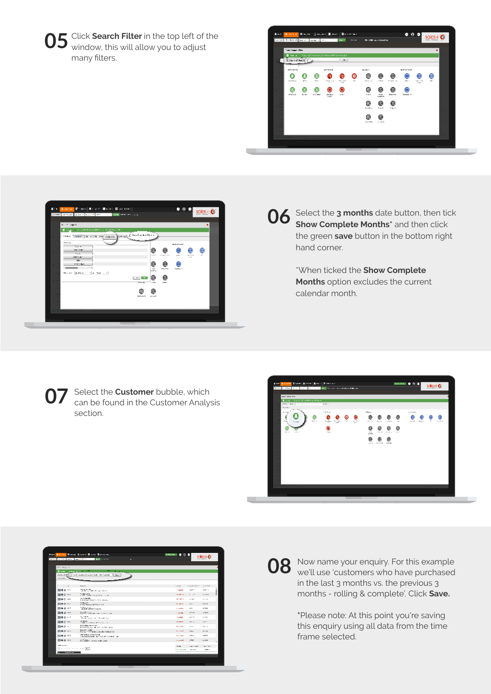Click **Search Filter** in the top left of the **05** Click Search Filter in the top left of t<br>Window, this will allow you to adjust many filters.





## **06** Select the **3 months** date button, then tick show **Complete Months**<sup>\*</sup> and then click **Show Complete Months\*** and then click the green **save** button in the bottom right hand corner.

\*When ticked the **Show Complete Months** option excludes the current calendar month.

**07** Select the **Customer** bubble, which can be found in the Customer Analys can be found in the Customer Analysis section.



|                                                   | <b>East Engines Brand School Brand Schools</b>                        | <b>Least Suite</b><br>IG.<br>ю | sales-l                               |
|---------------------------------------------------|-----------------------------------------------------------------------|--------------------------------|---------------------------------------|
|                                                   |                                                                       |                                |                                       |
| <b>ISSUED OF</b>                                  |                                                                       |                                |                                       |
| $2 - m$                                           | <b>ENGINEERING</b>                                                    |                                |                                       |
| Determination                                     | technical and a subset with collect and of<br>Boys 1                  |                                |                                       |
| <b>ABURGWA</b>                                    |                                                                       |                                |                                       |
|                                                   |                                                                       |                                |                                       |
| i w                                               | <b>Beneview</b>                                                       | Course.                        | <b>CALLES</b><br>LOVES!<br><b>MPT</b> |
| 回きまい                                              | The Second Corp. 1995. The Corp. 1997.<br>27, 880, 473, 5             | <b>MARGIN</b>                  | 120517-0                              |
| 四角させ                                              | <b>NAME ARRESTS OF STREET AND</b>                                     | 1005071                        | $1 - 17$<br><b>For A</b>              |
| 国会选项                                              | 16.4% South<br><b>RAMANAL BURN FL PRIS BARA</b>                       | <b>MARINE</b>                  | 1161<br>11.48                         |
| 四角波の中                                             | 125.27<br>LIVETARIAL MANUFLY                                          | <b>SCIENCES</b>                | <b>LENDE</b><br><b>B 16 11</b>        |
| 国事者201                                            | <b>Collective Collection</b>                                          | No sailords                    | 1.5h<br>por.                          |
| 国きまつく                                             | <b>MODELLAND ON ANOTHER PRO</b>                                       | <b>CALLE</b>                   | AP Air<br>12,805-                     |
| 回きるつつ                                             | SALE PROP.<br>1980 By 1991 Ford 1991 with this                        | 100310-01                      | 11188<br>10 <sup>2</sup>              |
| 関きさせた                                             | 2010/07/02<br>1,000 Put today attributes 11.                          | 100101-01                      | <b>France</b><br><b>REAL</b>          |
| 国会法の中                                             | <b>STLL BRANDATES</b><br>A 6 SCENE WAS SERVED FOR A 44 YEAR OLD MALE. | MOLES.                         | 1.12<br>100.00                        |
| 四角波の下                                             | <b>WARELSTEP</b><br>PAINT THREE BOATS CONTINUES TO:                   | NUMBER                         | 1114<br><b>E Black</b>                |
| 四番さに                                              | <b>INCHESTER</b><br>THE 200 STEAM TEST FIRST FIRST FIX                | <b>SCIENTING</b>               | 188.5<br>19920                        |
| 四角き201                                            | <b>Goodhist - and so particular</b>                                   | <b>No dealer</b>               | 1.54<br>17.3                          |
|                                                   |                                                                       |                                |                                       |
| <b>BALLATIC</b><br><b>A F F F F F F F F R TR </b> |                                                                       | 195.00                         | (16.995)<br>1327-2010                 |
| <b>Subility of a</b>                              |                                                                       | A FALLAS                       | <b>CONTRACT</b><br>100224-012         |



Now name your enquiry. For this example **08** Now name your enquiry. For this example we'll use 'customers who have purchased in the last 3 months vs. the previous 3 months - rolling & complete'. Click **Save.**

> **\***Please note: At this point you're saving this enquiry using all data from the time frame selected.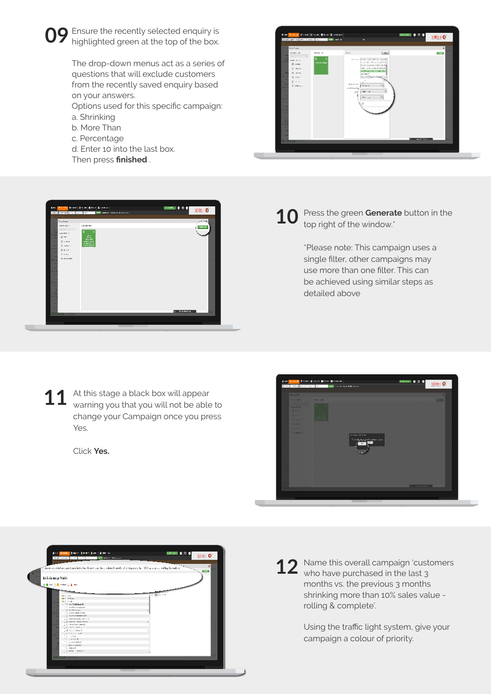

The drop-down menus act as a series of questions that will exclude customers from the recently saved enquiry based on your answers.

Options used for this specific campaign: a. Shrinking

- b. More Than
- c. Percentage
- d. Enter 10 into the last box. Then press **finished** .





## Press the green **Generate** button in the top right of the window.<sup>\*</sup> **10**

\*Please note: This campaign uses a single filter, other campaigns may use more than one filter. This can be achieved using similar steps as detailed above

At this stage a black box will appear warning you that you will not be able to change your Campaign once you press Yes. **11**

Click **Yes.**





Name this overall campaign 'customers **12** Name this overall campaign 'cust who have purchased in the last 3 months vs. the previous 3 months shrinking more than 10% sales value rolling & complete'.

> Using the traffic light system, give your campaign a colour of priority.